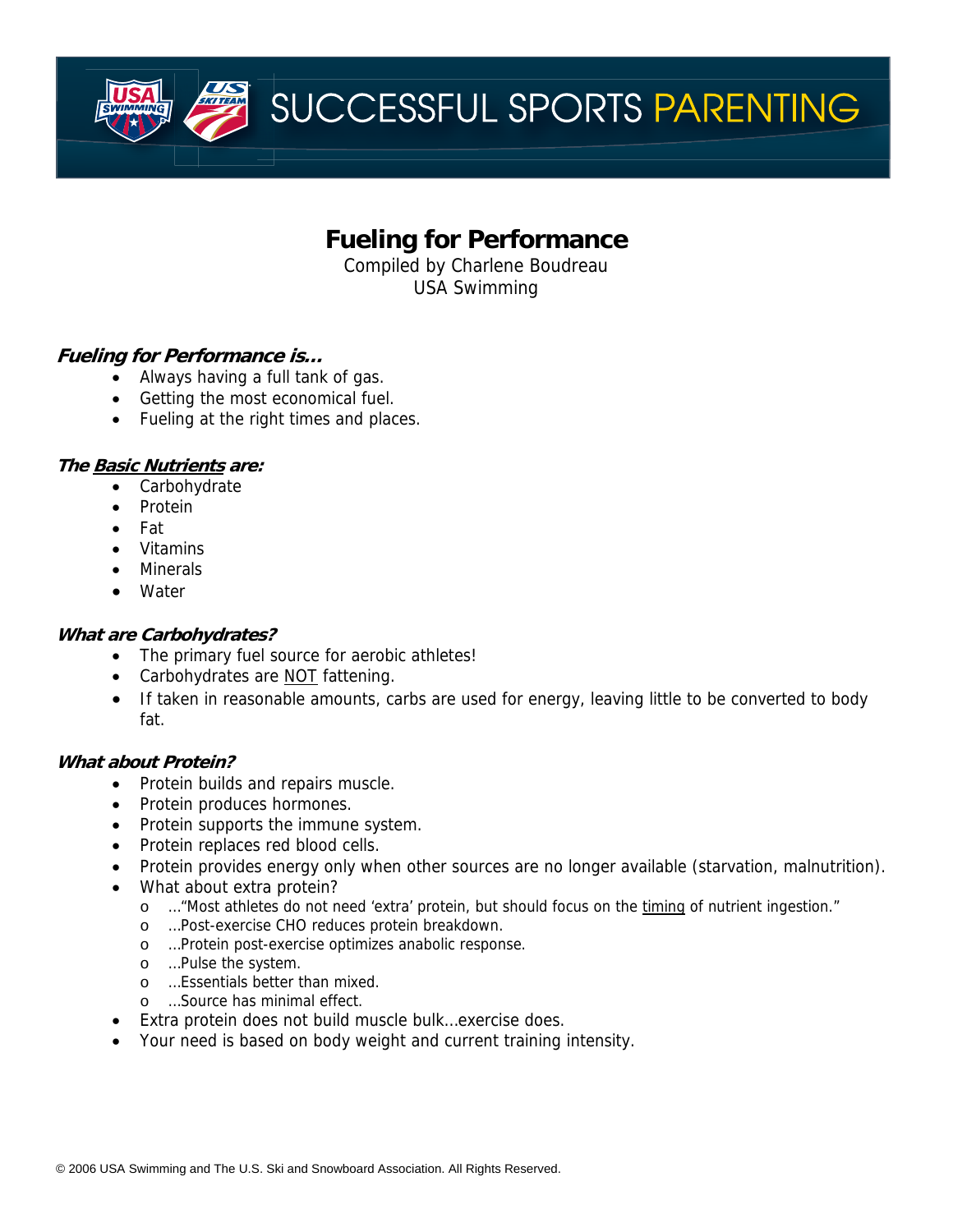**Fueling for Performance** 

Compiled by Charlene Boudreau USA Swimming

# **Fueling for Performance is…**

- Always having a full tank of gas.
- Getting the most economical fuel.
- Fueling at the right times and places.

## **The Basic Nutrients are:**

- Carbohydrate
- Protein
- Fat
- Vitamins
- Minerals
- Water

## **What are Carbohydrates?**

- The primary fuel source for aerobic athletes!
- Carbohydrates are NOT fattening.
- If taken in reasonable amounts, carbs are used for energy, leaving little to be converted to body fat.

## **What about Protein?**

- Protein builds and repairs muscle.
- Protein produces hormones.
- Protein supports the immune system.
- Protein replaces red blood cells.
- Protein provides energy only when other sources are no longer available (starvation, malnutrition).
- What about extra protein?
	- o ... "Most athletes do not need 'extra' protein, but should focus on the timing of nutrient ingestion."
	- o …Post-exercise CHO reduces protein breakdown.
	- o …Protein post-exercise optimizes anabolic response.
	- o …Pulse the system.
	- o …Essentials better than mixed.
	- o …Source has minimal effect.
	- Extra protein does not build muscle bulk…exercise does.
- Your need is based on body weight and current training intensity.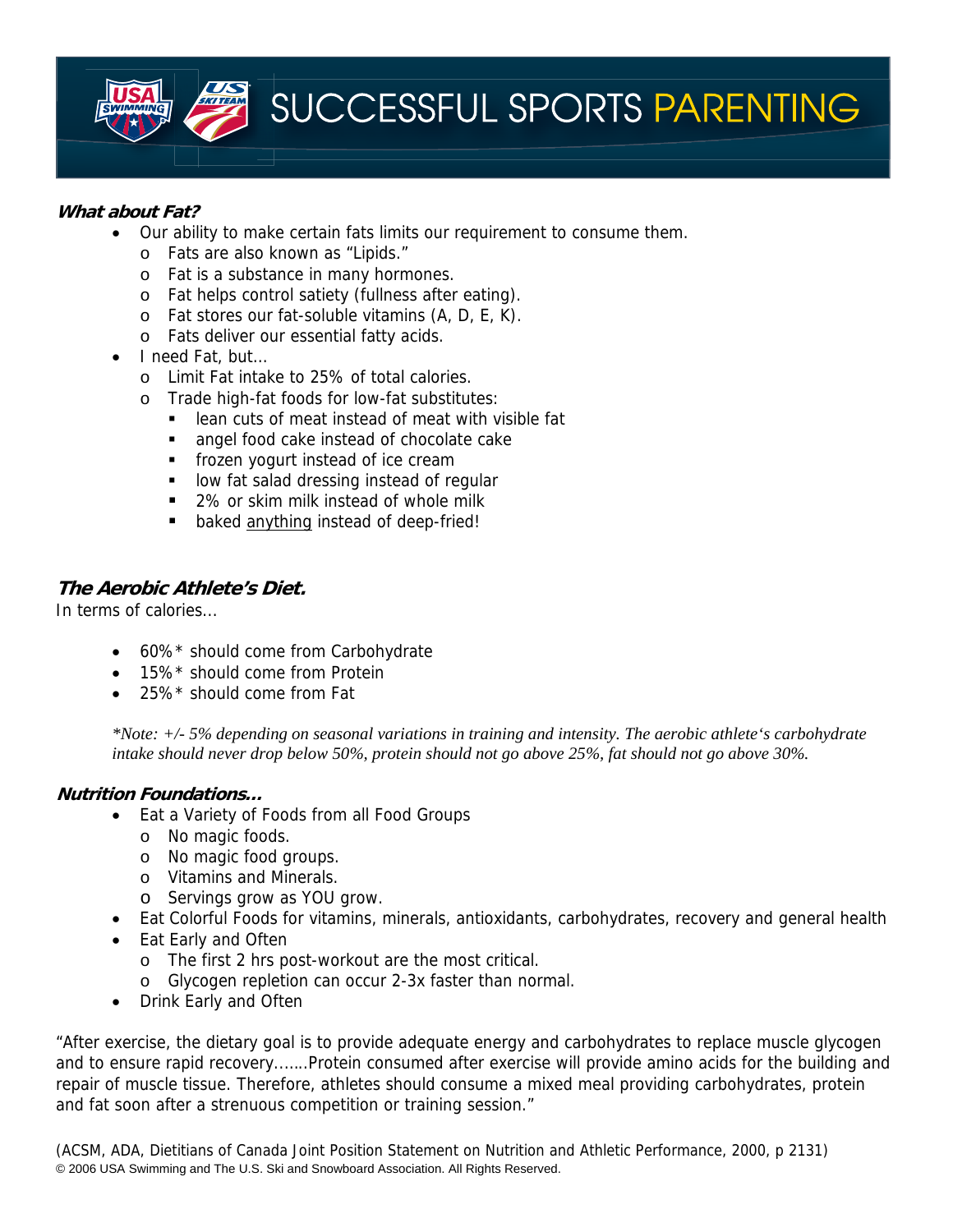

## **What about Fat?**

- Our ability to make certain fats limits our requirement to consume them.
	- o Fats are also known as "Lipids."
	- o Fat is a substance in many hormones.
	- o Fat helps control satiety (fullness after eating).
	- o Fat stores our fat-soluble vitamins (A, D, E, K).
	- o Fats deliver our essential fatty acids.
- I need Fat, but…
	- o Limit Fat intake to 25% of total calories.
	- o Trade high-fat foods for low-fat substitutes:
		- lean cuts of meat instead of meat with visible fat
		- **angel food cake instead of chocolate cake**
		- **Fig.** frozen yogurt instead of ice cream
		- **IDOM** fat salad dressing instead of regular
		- 2% or skim milk instead of whole milk
		- **baked anything instead of deep-fried!**

## **The Aerobic Athlete's Diet.**

In terms of calories...

- 60%\* should come from Carbohydrate
- 15%\* should come from Protein
- 25%\* should come from Fat

*\*Note: +/- 5% depending on seasonal variations in training and intensity. The aerobic athlete's carbohydrate intake should never drop below 50%, protein should not go above 25%, fat should not go above 30%.*

## **Nutrition Foundations…**

- Eat a Variety of Foods from all Food Groups
	- o No magic foods.
	- o No magic food groups.
	- o Vitamins and Minerals.
	- o Servings grow as YOU grow.
	- Eat Colorful Foods for vitamins, minerals, antioxidants, carbohydrates, recovery and general health
- Eat Early and Often
	- o The first 2 hrs post-workout are the most critical.
	- o Glycogen repletion can occur 2-3x faster than normal.
- Drink Early and Often

"After exercise, the dietary goal is to provide adequate energy and carbohydrates to replace muscle glycogen and to ensure rapid recovery..…..Protein consumed after exercise will provide amino acids for the building and repair of muscle tissue. Therefore, athletes should consume a mixed meal providing carbohydrates, protein and fat soon after a strenuous competition or training session."

© 2006 USA Swimming and The U.S. Ski and Snowboard Association. All Rights Reserved. (ACSM, ADA, Dietitians of Canada Joint Position Statement on Nutrition and Athletic Performance, 2000, p 2131)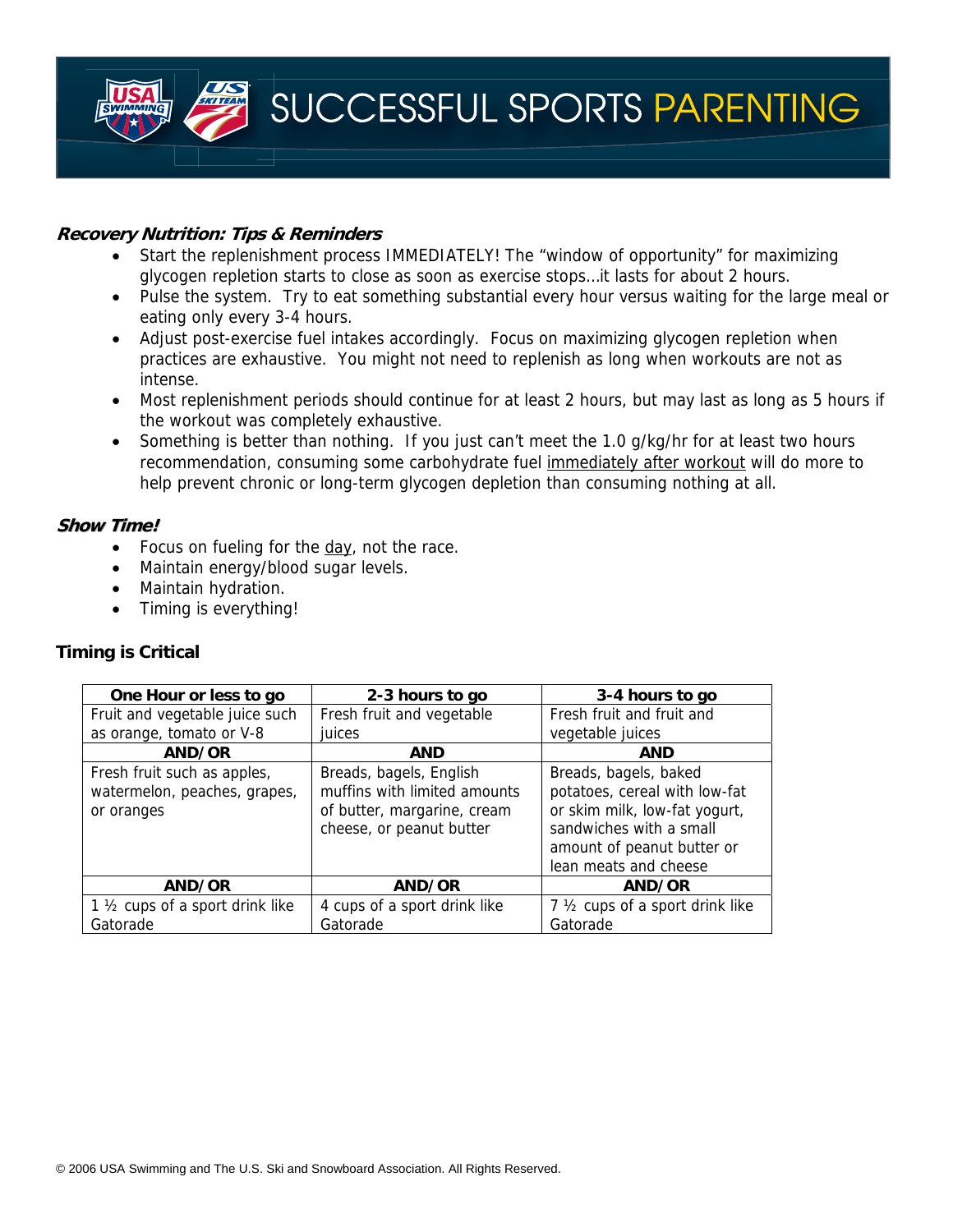

#### **Recovery Nutrition: Tips & Reminders**

- Start the replenishment process IMMEDIATELY! The "window of opportunity" for maximizing glycogen repletion starts to close as soon as exercise stops…it lasts for about 2 hours.
- Pulse the system. Try to eat something substantial every hour versus waiting for the large meal or eating only every 3-4 hours.
- Adjust post-exercise fuel intakes accordingly. Focus on maximizing glycogen repletion when practices are exhaustive. You might not need to replenish as long when workouts are not as intense.
- Most replenishment periods should continue for at least 2 hours, but may last as long as 5 hours if the workout was completely exhaustive.
- Something is better than nothing. If you just can't meet the 1.0 g/kg/hr for at least two hours recommendation, consuming some carbohydrate fuel immediately after workout will do more to help prevent chronic or long-term glycogen depletion than consuming nothing at all.

## **Show Time!**

- Focus on fueling for the day, not the race.
- Maintain energy/blood sugar levels.
- Maintain hydration.
- Timing is everything!

## **Timing is Critical**

| One Hour or less to go                       | 2-3 hours to go              | 3-4 hours to go                  |
|----------------------------------------------|------------------------------|----------------------------------|
| Fruit and vegetable juice such               | Fresh fruit and vegetable    | Fresh fruit and fruit and        |
| as orange, tomato or V-8                     | juices                       | vegetable juices                 |
| AND/OR                                       | <b>AND</b>                   | <b>AND</b>                       |
| Fresh fruit such as apples,                  | Breads, bagels, English      | Breads, bagels, baked            |
| watermelon, peaches, grapes,                 | muffins with limited amounts | potatoes, cereal with low-fat    |
| or oranges                                   | of butter, margarine, cream  | or skim milk, low-fat yogurt,    |
|                                              | cheese, or peanut butter     | sandwiches with a small          |
|                                              |                              | amount of peanut butter or       |
|                                              |                              | lean meats and cheese            |
| AND/OR                                       | AND/OR                       | AND/OR                           |
| 1 1/ <sub>2</sub> cups of a sport drink like | 4 cups of a sport drink like | 7 1/2 cups of a sport drink like |
| Gatorade                                     | Gatorade                     | Gatorade                         |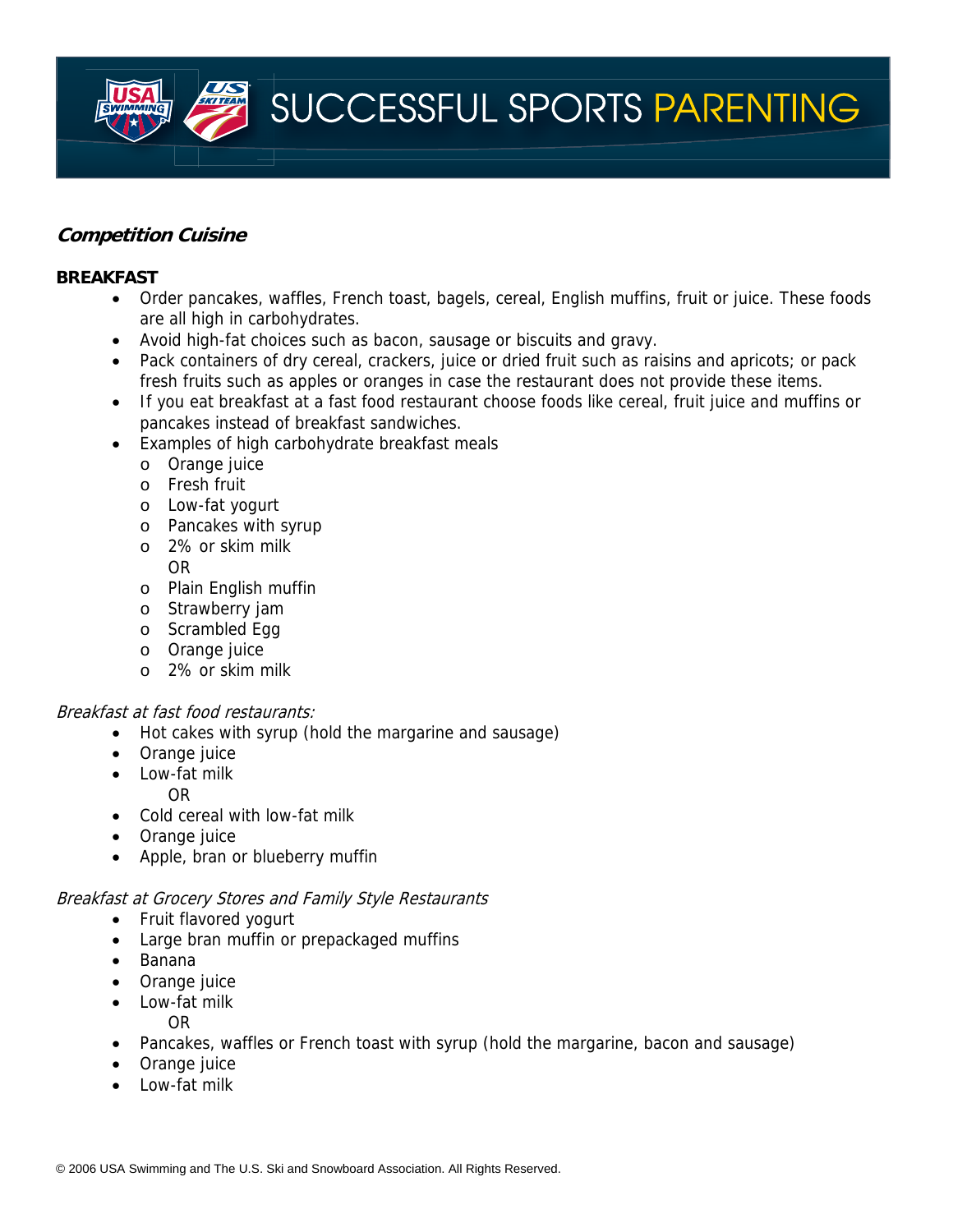# **Competition Cuisine**

#### **BREAKFAST**

- Order pancakes, waffles, French toast, bagels, cereal, English muffins, fruit or juice. These foods are all high in carbohydrates.
- Avoid high-fat choices such as bacon, sausage or biscuits and gravy.
- Pack containers of dry cereal, crackers, juice or dried fruit such as raisins and apricots; or pack fresh fruits such as apples or oranges in case the restaurant does not provide these items.
- If you eat breakfast at a fast food restaurant choose foods like cereal, fruit juice and muffins or pancakes instead of breakfast sandwiches.
- Examples of high carbohydrate breakfast meals
	- o Orange juice
	- o Fresh fruit
	- o Low-fat yogurt
	- o Pancakes with syrup
	- o 2% or skim milk OR
	- o Plain English muffin
	- o Strawberry jam
	- o Scrambled Egg
	- o Orange juice
	- o 2% or skim milk

## Breakfast at fast food restaurants:

- Hot cakes with syrup (hold the margarine and sausage)
- Orange juice
- Low-fat milk
	- OR
- Cold cereal with low-fat milk
- Orange juice
- Apple, bran or blueberry muffin

#### Breakfast at Grocery Stores and Family Style Restaurants

- Fruit flavored yogurt
- Large bran muffin or prepackaged muffins
- Banana
- Orange juice
- Low-fat milk
	- OR
- Pancakes, waffles or French toast with syrup (hold the margarine, bacon and sausage)
- Orange juice
- Low-fat milk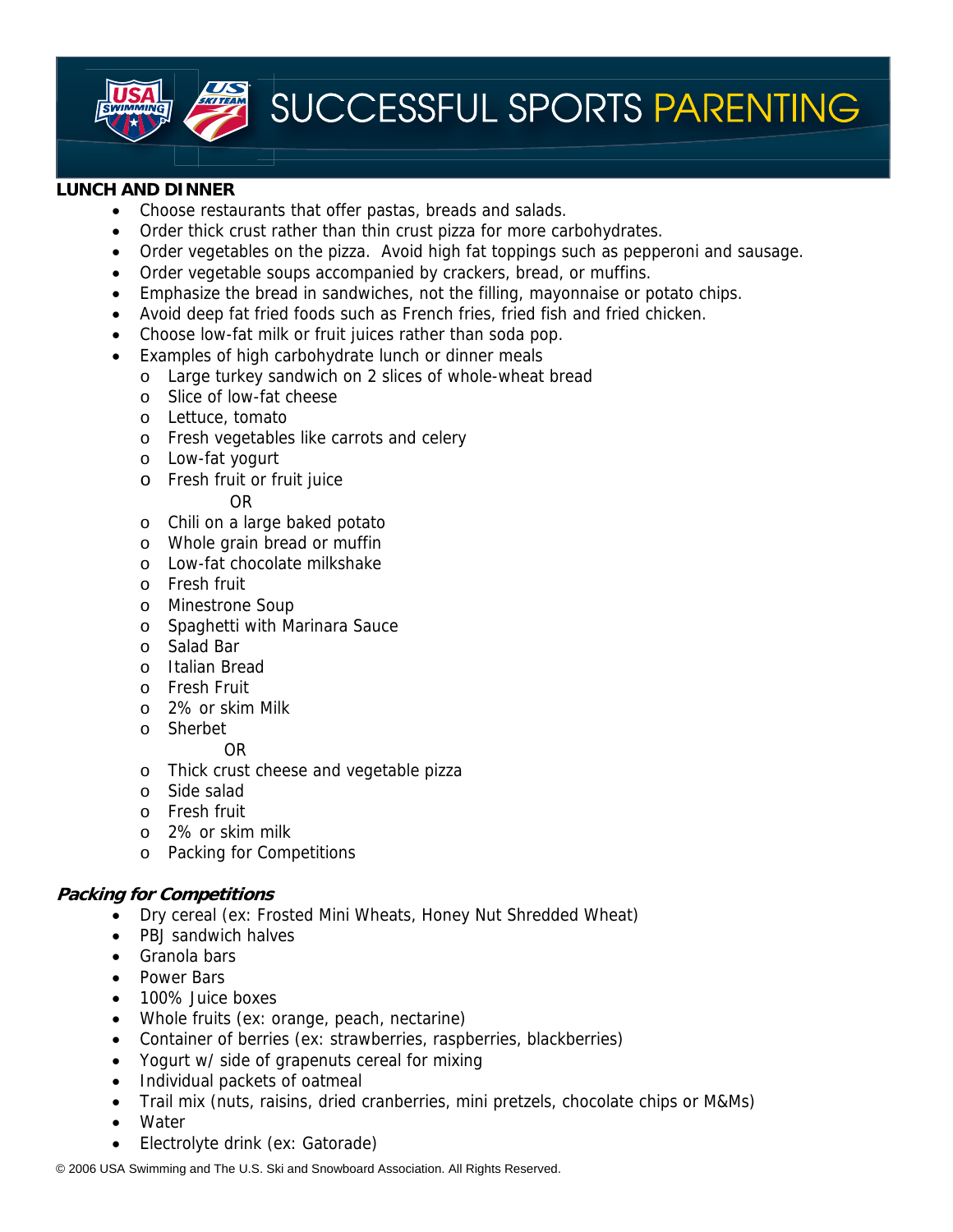

#### **LUNCH AND DINNER**

- Choose restaurants that offer pastas, breads and salads.
- Order thick crust rather than thin crust pizza for more carbohydrates.
- Order vegetables on the pizza. Avoid high fat toppings such as pepperoni and sausage.
- Order vegetable soups accompanied by crackers, bread, or muffins.
- Emphasize the bread in sandwiches, not the filling, mayonnaise or potato chips.
- Avoid deep fat fried foods such as French fries, fried fish and fried chicken.
- Choose low-fat milk or fruit juices rather than soda pop.
- Examples of high carbohydrate lunch or dinner meals
	- o Large turkey sandwich on 2 slices of whole-wheat bread
	- o Slice of low-fat cheese
	- o Lettuce, tomato
	- o Fresh vegetables like carrots and celery
	- o Low-fat yogurt
	- o Fresh fruit or fruit juice

#### **OR** OR

- o Chili on a large baked potato
- o Whole grain bread or muffin
- o Low-fat chocolate milkshake
- o Fresh fruit
- o Minestrone Soup
- o Spaghetti with Marinara Sauce
- o Salad Bar
- o Italian Bread
- o Fresh Fruit
- o 2% or skim Milk
- o Sherbet

#### OR

- o Thick crust cheese and vegetable pizza
- o Side salad
- o Fresh fruit
- o 2% or skim milk
- o Packing for Competitions

## **Packing for Competitions**

- Dry cereal (ex: Frosted Mini Wheats, Honey Nut Shredded Wheat)
- PBJ sandwich halves
- Granola bars
- Power Bars
- 100% Juice boxes
- Whole fruits (ex: orange, peach, nectarine)
- Container of berries (ex: strawberries, raspberries, blackberries)
- Yogurt w/ side of grapenuts cereal for mixing
- Individual packets of oatmeal
- Trail mix (nuts, raisins, dried cranberries, mini pretzels, chocolate chips or M&Ms)
- **Water**
- Electrolyte drink (ex: Gatorade)

© 2006 USA Swimming and The U.S. Ski and Snowboard Association. All Rights Reserved.